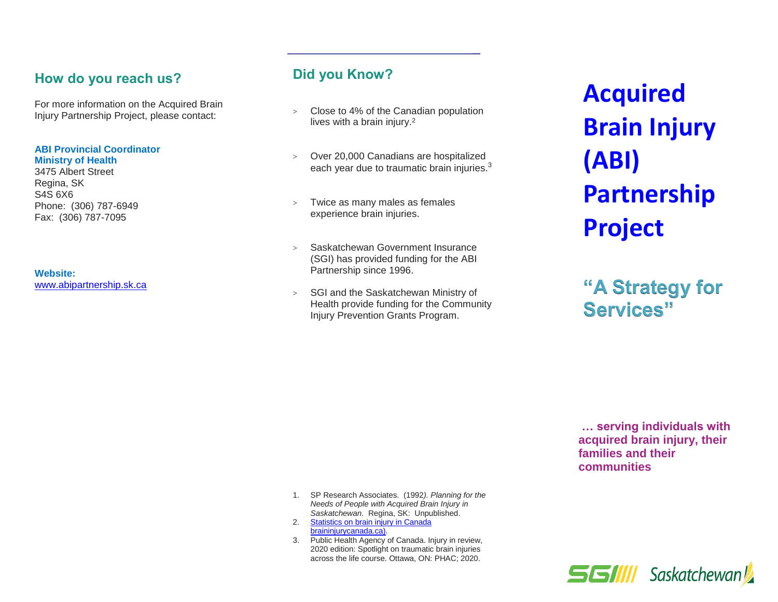#### **How do you reach us?**

For more information on the Acquired Brain Injury Partnership Project, please contact:

#### **ABI Provincial Coordinator Ministry of Health**

3475 Albert Street Regina, SK S4S 6X6 Phone: (306) 787-6949 Fax: (306) 787-7095

**Website:** [www.abipartnership.sk.ca](file://///p-v-1082.health.hin.sk.ca/ccsbcom$/Acquired%20Brain%20Injury/Education%20and%20Prevention/pamphlets/2022%20revisions/www.abipartnership.sk.ca)

# **Did you Know?**

- > Close to 4% of the Canadian population lives with a brain injury.<sup>2</sup>
- > Over 20,000 Canadians are hospitalized each year due to traumatic brain injuries.<sup>3</sup>
- > Twice as many males as females experience brain injuries.
- > Saskatchewan Government Insurance (SGI) has provided funding for the ABI Partnership since 1996.
- > SGI and the Saskatchewan Ministry of Health provide funding for the Community Injury Prevention Grants Program.

**Acquired Brain Injury (ABI) Partnership Project**

**"A Strategy for Services"**

**… serving individuals with acquired brain injury, their families and their communities**

- 1. SP Research Associates. (1992*). Planning for the Needs of People with Acquired Brain Injury in Saskatchewan.* Regina, SK: Unpublished.
- 2. [Statistics on brain injury in Canada](https://www.braininjurycanada.ca/en/statistics-brain-injury#TBI) [braininjurycanada.ca\).](https://www.braininjurycanada.ca/en/statistics-brain-injury#TBI)
- 3. Public Health Agency of Canada. Injury in review, 2020 edition: Spotlight on traumatic brain injuries across the life course. Ottawa, ON: PHAC; 2020.

**SGIIII** Saskatchewan